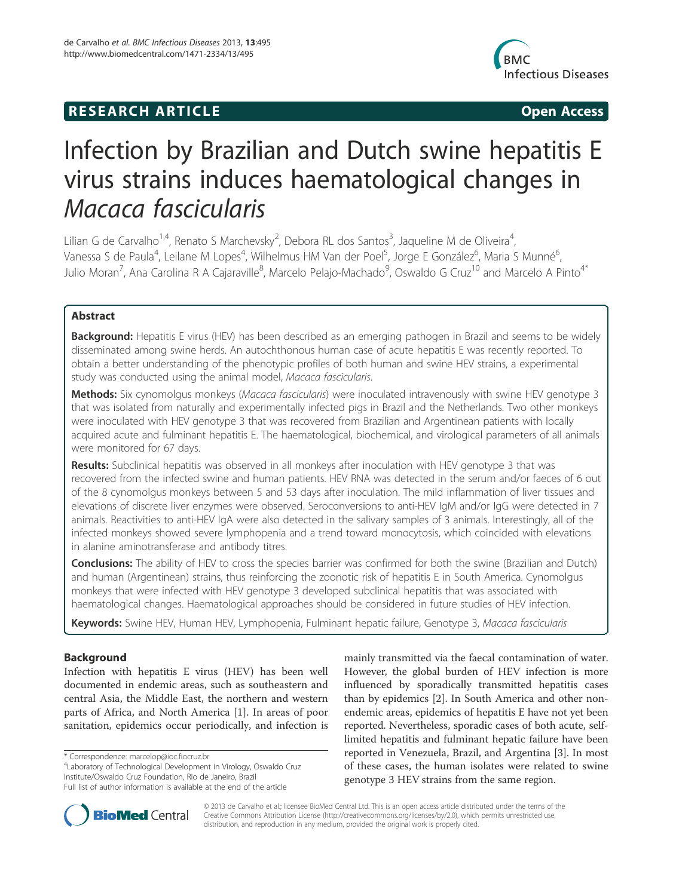# **RESEARCH ARTICLE Example 2018 12:00 Open Access**



# Infection by Brazilian and Dutch swine hepatitis E virus strains induces haematological changes in Macaca fascicularis

Lilian G de Carvalho<sup>1,4</sup>, Renato S Marchevsky<sup>2</sup>, Debora RL dos Santos<sup>3</sup>, Jaqueline M de Oliveira<sup>4</sup> , Vanessa S de Paula<sup>4</sup>, Leilane M Lopes<sup>4</sup>, Wilhelmus HM Van der Poel<sup>5</sup>, Jorge E González<sup>6</sup>, Maria S Munné<sup>6</sup> , Julio Moran<sup>7</sup>, Ana Carolina R A Cajaraville<sup>8</sup>, Marcelo Pelajo-Machado<sup>9</sup>, Oswaldo G Cruz<sup>10</sup> and Marcelo A Pinto<sup>4\*</sup>

# Abstract

Background: Hepatitis E virus (HEV) has been described as an emerging pathogen in Brazil and seems to be widely disseminated among swine herds. An autochthonous human case of acute hepatitis E was recently reported. To obtain a better understanding of the phenotypic profiles of both human and swine HEV strains, a experimental study was conducted using the animal model, Macaca fascicularis.

Methods: Six cynomolgus monkeys (Macaca fascicularis) were inoculated intravenously with swine HEV genotype 3 that was isolated from naturally and experimentally infected pigs in Brazil and the Netherlands. Two other monkeys were inoculated with HEV genotype 3 that was recovered from Brazilian and Argentinean patients with locally acquired acute and fulminant hepatitis E. The haematological, biochemical, and virological parameters of all animals were monitored for 67 days.

Results: Subclinical hepatitis was observed in all monkeys after inoculation with HEV genotype 3 that was recovered from the infected swine and human patients. HEV RNA was detected in the serum and/or faeces of 6 out of the 8 cynomolgus monkeys between 5 and 53 days after inoculation. The mild inflammation of liver tissues and elevations of discrete liver enzymes were observed. Seroconversions to anti-HEV IgM and/or IgG were detected in 7 animals. Reactivities to anti-HEV IgA were also detected in the salivary samples of 3 animals. Interestingly, all of the infected monkeys showed severe lymphopenia and a trend toward monocytosis, which coincided with elevations in alanine aminotransferase and antibody titres.

Conclusions: The ability of HEV to cross the species barrier was confirmed for both the swine (Brazilian and Dutch) and human (Argentinean) strains, thus reinforcing the zoonotic risk of hepatitis E in South America. Cynomolgus monkeys that were infected with HEV genotype 3 developed subclinical hepatitis that was associated with haematological changes. Haematological approaches should be considered in future studies of HEV infection.

Keywords: Swine HEV, Human HEV, Lymphopenia, Fulminant hepatic failure, Genotype 3, Macaca fascicularis

# Background

Infection with hepatitis E virus (HEV) has been well documented in endemic areas, such as southeastern and central Asia, the Middle East, the northern and western parts of Africa, and North America [1]. In areas of poor sanitation, epidemics occur periodically, and infection is

\* Correspondence: marcelop@ioc.fiocruz.br <sup>4</sup>

Laboratory of Technological Development in Virology, Oswaldo Cruz Institute/Oswaldo Cruz Foundation, Rio de Janeiro, Brazil Full list of author information is available at the end of the article

mainly transmitted via the faecal contamination of water. However, the global burden of HEV infection is more influenced by sporadically transmitted hepatitis cases than by epidemics [2]. In South America and other nonendemic areas, epidemics of hepatitis E have not yet been reported. Nevertheless, sporadic cases of both acute, selflimited hepatitis and fulminant hepatic failure have been reported in Venezuela, Brazil, and Argentina [3]. In most of these cases, the human isolates were related to swine genotype 3 HEV strains from the same region.



© 2013 de Carvalho et al.; licensee BioMed Central Ltd. This is an open access article distributed under the terms of the Creative Commons Attribution License (http://creativecommons.org/licenses/by/2.0), which permits unrestricted use, distribution, and reproduction in any medium, provided the original work is properly cited.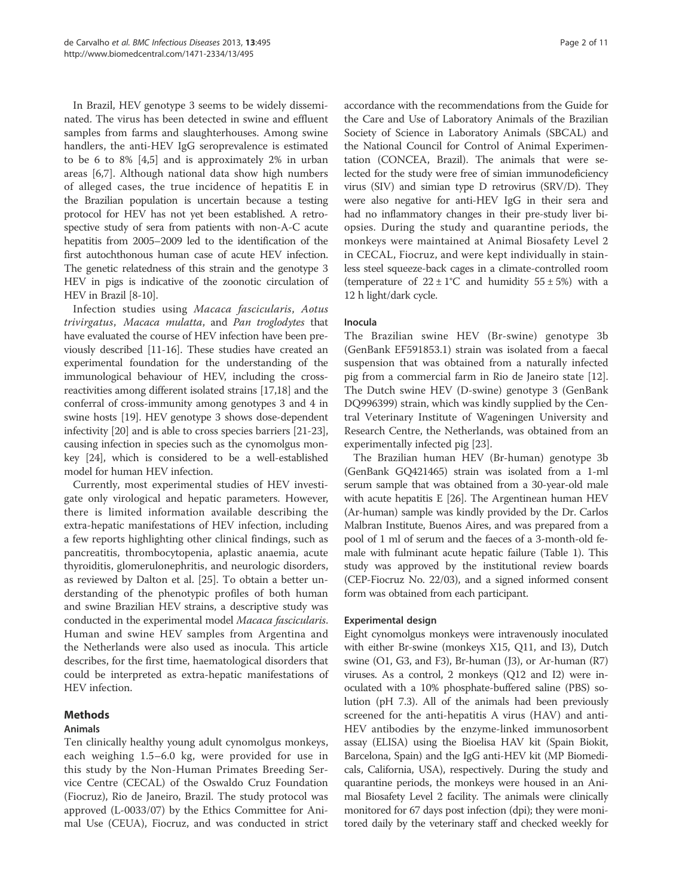In Brazil, HEV genotype 3 seems to be widely disseminated. The virus has been detected in swine and effluent samples from farms and slaughterhouses. Among swine handlers, the anti-HEV IgG seroprevalence is estimated to be 6 to 8% [4,5] and is approximately 2% in urban areas [6,7]. Although national data show high numbers of alleged cases, the true incidence of hepatitis E in the Brazilian population is uncertain because a testing protocol for HEV has not yet been established. A retrospective study of sera from patients with non-A-C acute hepatitis from 2005–2009 led to the identification of the first autochthonous human case of acute HEV infection. The genetic relatedness of this strain and the genotype 3 HEV in pigs is indicative of the zoonotic circulation of HEV in Brazil [8-10].

Infection studies using Macaca fascicularis, Aotus trivirgatus, Macaca mulatta, and Pan troglodytes that have evaluated the course of HEV infection have been previously described [11-16]. These studies have created an experimental foundation for the understanding of the immunological behaviour of HEV, including the crossreactivities among different isolated strains [17,18] and the conferral of cross-immunity among genotypes 3 and 4 in swine hosts [19]. HEV genotype 3 shows dose-dependent infectivity [20] and is able to cross species barriers [21-23], causing infection in species such as the cynomolgus monkey [24], which is considered to be a well-established model for human HEV infection.

Currently, most experimental studies of HEV investigate only virological and hepatic parameters. However, there is limited information available describing the extra-hepatic manifestations of HEV infection, including a few reports highlighting other clinical findings, such as pancreatitis, thrombocytopenia, aplastic anaemia, acute thyroiditis, glomerulonephritis, and neurologic disorders, as reviewed by Dalton et al. [25]. To obtain a better understanding of the phenotypic profiles of both human and swine Brazilian HEV strains, a descriptive study was conducted in the experimental model Macaca fascicularis. Human and swine HEV samples from Argentina and the Netherlands were also used as inocula. This article describes, for the first time, haematological disorders that could be interpreted as extra-hepatic manifestations of HEV infection.

# Methods

# Animals

Ten clinically healthy young adult cynomolgus monkeys, each weighing 1.5–6.0 kg, were provided for use in this study by the Non-Human Primates Breeding Service Centre (CECAL) of the Oswaldo Cruz Foundation (Fiocruz), Rio de Janeiro, Brazil. The study protocol was approved (L-0033/07) by the Ethics Committee for Animal Use (CEUA), Fiocruz, and was conducted in strict

accordance with the recommendations from the Guide for the Care and Use of Laboratory Animals of the Brazilian Society of Science in Laboratory Animals (SBCAL) and the National Council for Control of Animal Experimentation (CONCEA, Brazil). The animals that were selected for the study were free of simian immunodeficiency virus (SIV) and simian type D retrovirus (SRV/D). They were also negative for anti-HEV IgG in their sera and had no inflammatory changes in their pre-study liver biopsies. During the study and quarantine periods, the monkeys were maintained at Animal Biosafety Level 2 in CECAL, Fiocruz, and were kept individually in stainless steel squeeze-back cages in a climate-controlled room (temperature of  $22 \pm 1^{\circ}$ C and humidity  $55 \pm 5\%$ ) with a 12 h light/dark cycle.

## Inocula

The Brazilian swine HEV (Br-swine) genotype 3b (GenBank EF591853.1) strain was isolated from a faecal suspension that was obtained from a naturally infected pig from a commercial farm in Rio de Janeiro state [12]. The Dutch swine HEV (D-swine) genotype 3 (GenBank DQ996399) strain, which was kindly supplied by the Central Veterinary Institute of Wageningen University and Research Centre, the Netherlands, was obtained from an experimentally infected pig [23].

The Brazilian human HEV (Br-human) genotype 3b (GenBank GQ421465) strain was isolated from a 1-ml serum sample that was obtained from a 30-year-old male with acute hepatitis E [26]. The Argentinean human HEV (Ar-human) sample was kindly provided by the Dr. Carlos Malbran Institute, Buenos Aires, and was prepared from a pool of 1 ml of serum and the faeces of a 3-month-old female with fulminant acute hepatic failure (Table 1). This study was approved by the institutional review boards (CEP-Fiocruz No. 22/03), and a signed informed consent form was obtained from each participant.

# Experimental design

Eight cynomolgus monkeys were intravenously inoculated with either Br-swine (monkeys X15, Q11, and I3), Dutch swine  $(O1, G3, and F3)$ , Br-human  $(J3)$ , or Ar-human  $(R7)$ viruses. As a control, 2 monkeys (Q12 and I2) were inoculated with a 10% phosphate-buffered saline (PBS) solution (pH 7.3). All of the animals had been previously screened for the anti-hepatitis A virus (HAV) and anti-HEV antibodies by the enzyme-linked immunosorbent assay (ELISA) using the Bioelisa HAV kit (Spain Biokit, Barcelona, Spain) and the IgG anti-HEV kit (MP Biomedicals, California, USA), respectively. During the study and quarantine periods, the monkeys were housed in an Animal Biosafety Level 2 facility. The animals were clinically monitored for 67 days post infection (dpi); they were monitored daily by the veterinary staff and checked weekly for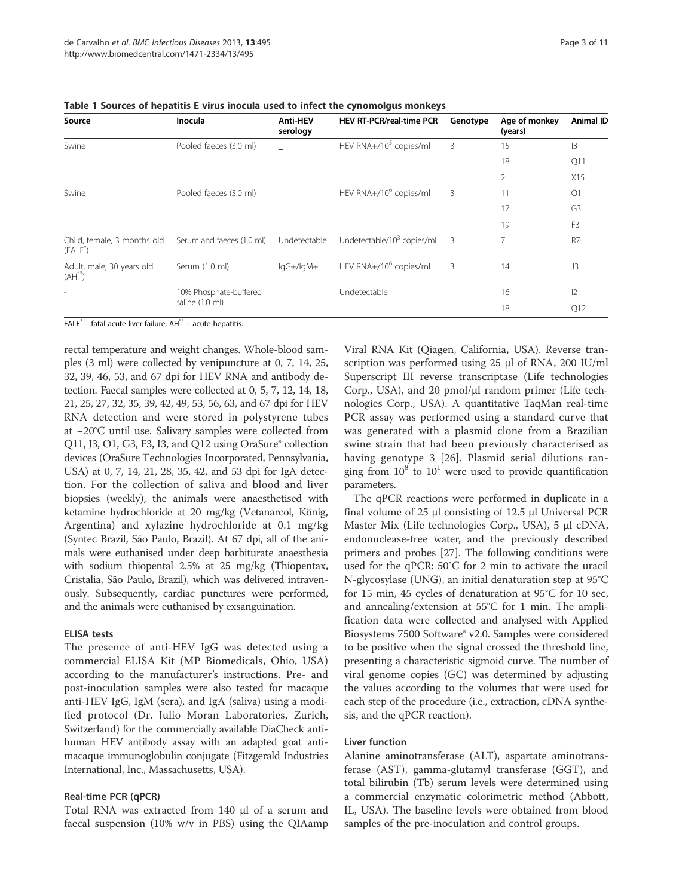| Source                                     | Inocula                   | <b>Anti-HEV</b><br>serology | HEV RT-PCR/real-time PCR               | Genotype | Age of monkey<br>(years) | Animal ID      |
|--------------------------------------------|---------------------------|-----------------------------|----------------------------------------|----------|--------------------------|----------------|
| Swine                                      | Pooled faeces (3.0 ml)    |                             | HEV RNA+/10 <sup>5</sup> copies/ml     | 3        | 15                       | 3              |
|                                            |                           |                             |                                        |          | 18                       | Q11            |
|                                            |                           |                             |                                        |          | $\overline{2}$           | X15            |
| Swine                                      | Pooled faeces (3.0 ml)    |                             | HEV RNA+/10 <sup>6</sup> copies/ml     | 3        | 11                       | O <sub>1</sub> |
|                                            |                           |                             |                                        |          | 17                       | G <sub>3</sub> |
|                                            |                           |                             |                                        |          | 19                       | F <sub>3</sub> |
| Child, female, 3 months old<br>(FALF)      | Serum and faeces (1.0 ml) | Undetectable                | Undetectable/10 <sup>3</sup> copies/ml | 3        | 7                        | R <sub>7</sub> |
| Adult, male, 30 years old<br>$(AH^{\sim})$ | Serum (1.0 ml)            | lgG+/lgM+                   | HEV RNA+/10 <sup>6</sup> copies/ml     | 3        | 14                       | J3             |
| $\overline{\phantom{a}}$                   | 10% Phosphate-buffered    |                             | Undetectable                           |          | 16                       | 2              |
|                                            | saline (1.0 ml)           |                             |                                        |          | 18                       | Q12            |

Table 1 Sources of hepatitis E virus inocula used to infect the cynomolgus monkeys

 $FALF^*$  – fatal acute liver failure;  $AH^{**}$  – acute hepatitis.

rectal temperature and weight changes. Whole-blood samples (3 ml) were collected by venipuncture at 0, 7, 14, 25, 32, 39, 46, 53, and 67 dpi for HEV RNA and antibody detection. Faecal samples were collected at 0, 5, 7, 12, 14, 18, 21, 25, 27, 32, 35, 39, 42, 49, 53, 56, 63, and 67 dpi for HEV RNA detection and were stored in polystyrene tubes at −20°C until use. Salivary samples were collected from Q11, J3, O1, G3, F3, I3, and Q12 using OraSure® collection devices (OraSure Technologies Incorporated, Pennsylvania, USA) at 0, 7, 14, 21, 28, 35, 42, and 53 dpi for IgA detection. For the collection of saliva and blood and liver biopsies (weekly), the animals were anaesthetised with ketamine hydrochloride at 20 mg/kg (Vetanarcol, König, Argentina) and xylazine hydrochloride at 0.1 mg/kg (Syntec Brazil, São Paulo, Brazil). At 67 dpi, all of the animals were euthanised under deep barbiturate anaesthesia with sodium thiopental 2.5% at 25 mg/kg (Thiopentax, Cristalia, São Paulo, Brazil), which was delivered intravenously. Subsequently, cardiac punctures were performed, and the animals were euthanised by exsanguination.

#### ELISA tests

The presence of anti-HEV IgG was detected using a commercial ELISA Kit (MP Biomedicals, Ohio, USA) according to the manufacturer's instructions. Pre- and post-inoculation samples were also tested for macaque anti-HEV IgG, IgM (sera), and IgA (saliva) using a modified protocol (Dr. Julio Moran Laboratories, Zurich, Switzerland) for the commercially available DiaCheck antihuman HEV antibody assay with an adapted goat antimacaque immunoglobulin conjugate (Fitzgerald Industries International, Inc., Massachusetts, USA).

# Real-time PCR (qPCR)

Total RNA was extracted from 140 μl of a serum and faecal suspension (10% w/v in PBS) using the QIAamp Viral RNA Kit (Qiagen, California, USA). Reverse transcription was performed using 25 μl of RNA, 200 IU/ml Superscript III reverse transcriptase (Life technologies Corp., USA), and 20 pmol/μl random primer (Life technologies Corp., USA). A quantitative TaqMan real-time PCR assay was performed using a standard curve that was generated with a plasmid clone from a Brazilian swine strain that had been previously characterised as having genotype 3 [26]. Plasmid serial dilutions ranging from  $10^8$  to  $10^1$  were used to provide quantification parameters.

The qPCR reactions were performed in duplicate in a final volume of 25 μl consisting of 12.5 μl Universal PCR Master Mix (Life technologies Corp., USA), 5 μl cDNA, endonuclease-free water, and the previously described primers and probes [27]. The following conditions were used for the qPCR: 50°C for 2 min to activate the uracil N-glycosylase (UNG), an initial denaturation step at 95°C for 15 min, 45 cycles of denaturation at 95°C for 10 sec, and annealing/extension at 55°C for 1 min. The amplification data were collected and analysed with Applied Biosystems 7500 Software® v2.0. Samples were considered to be positive when the signal crossed the threshold line, presenting a characteristic sigmoid curve. The number of viral genome copies (GC) was determined by adjusting the values according to the volumes that were used for each step of the procedure (i.e., extraction, cDNA synthesis, and the qPCR reaction).

# Liver function

Alanine aminotransferase (ALT), aspartate aminotransferase (AST), gamma-glutamyl transferase (GGT), and total bilirubin (Tb) serum levels were determined using a commercial enzymatic colorimetric method (Abbott, IL, USA). The baseline levels were obtained from blood samples of the pre-inoculation and control groups.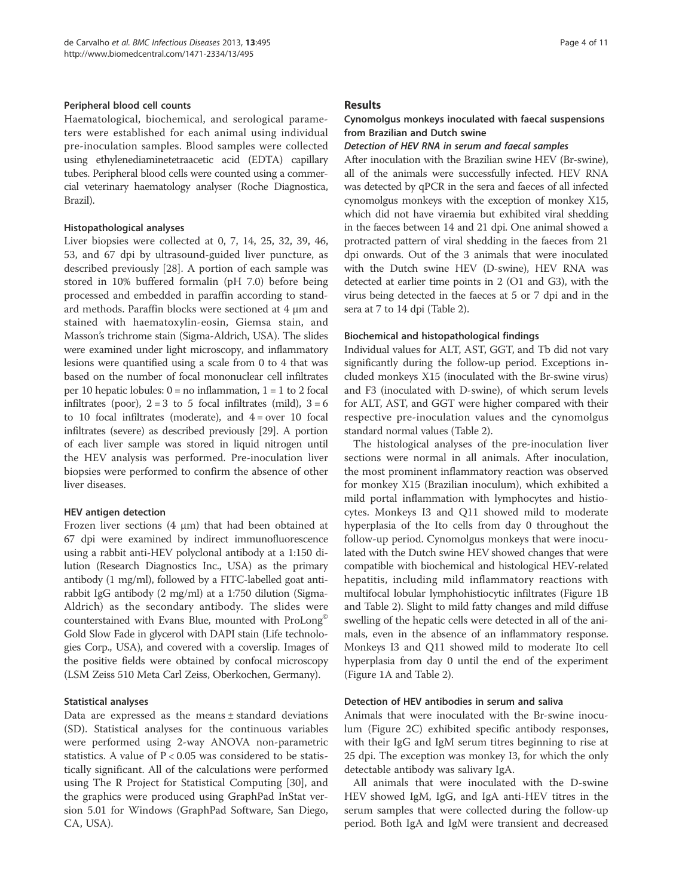#### Peripheral blood cell counts

Haematological, biochemical, and serological parameters were established for each animal using individual pre-inoculation samples. Blood samples were collected using ethylenediaminetetraacetic acid (EDTA) capillary tubes. Peripheral blood cells were counted using a commercial veterinary haematology analyser (Roche Diagnostica, Brazil).

#### Histopathological analyses

Liver biopsies were collected at 0, 7, 14, 25, 32, 39, 46, 53, and 67 dpi by ultrasound-guided liver puncture, as described previously [28]. A portion of each sample was stored in 10% buffered formalin (pH 7.0) before being processed and embedded in paraffin according to standard methods. Paraffin blocks were sectioned at 4 μm and stained with haematoxylin-eosin, Giemsa stain, and Masson's trichrome stain (Sigma-Aldrich, USA). The slides were examined under light microscopy, and inflammatory lesions were quantified using a scale from 0 to 4 that was based on the number of focal mononuclear cell infiltrates per 10 hepatic lobules:  $0 = no$  inflammation,  $1 = 1$  to 2 focal infiltrates (poor),  $2 = 3$  to 5 focal infiltrates (mild),  $3 = 6$ to 10 focal infiltrates (moderate), and  $4 = over 10$  focal infiltrates (severe) as described previously [29]. A portion of each liver sample was stored in liquid nitrogen until the HEV analysis was performed. Pre-inoculation liver biopsies were performed to confirm the absence of other liver diseases.

# HEV antigen detection

Frozen liver sections (4 μm) that had been obtained at 67 dpi were examined by indirect immunofluorescence using a rabbit anti-HEV polyclonal antibody at a 1:150 dilution (Research Diagnostics Inc., USA) as the primary antibody (1 mg/ml), followed by a FITC-labelled goat antirabbit IgG antibody (2 mg/ml) at a 1:750 dilution (Sigma-Aldrich) as the secondary antibody. The slides were counterstained with Evans Blue, mounted with ProLong<sup>®</sup> Gold Slow Fade in glycerol with DAPI stain (Life technologies Corp., USA), and covered with a coverslip. Images of the positive fields were obtained by confocal microscopy (LSM Zeiss 510 Meta Carl Zeiss, Oberkochen, Germany).

# Statistical analyses

Data are expressed as the means  $\pm$  standard deviations (SD). Statistical analyses for the continuous variables were performed using 2-way ANOVA non-parametric statistics. A value of  $P < 0.05$  was considered to be statistically significant. All of the calculations were performed using The R Project for Statistical Computing [30], and the graphics were produced using GraphPad InStat version 5.01 for Windows (GraphPad Software, San Diego, CA, USA).

#### Results

# Cynomolgus monkeys inoculated with faecal suspensions from Brazilian and Dutch swine

#### Detection of HEV RNA in serum and faecal samples

After inoculation with the Brazilian swine HEV (Br-swine), all of the animals were successfully infected. HEV RNA was detected by qPCR in the sera and faeces of all infected cynomolgus monkeys with the exception of monkey X15, which did not have viraemia but exhibited viral shedding in the faeces between 14 and 21 dpi. One animal showed a protracted pattern of viral shedding in the faeces from 21 dpi onwards. Out of the 3 animals that were inoculated with the Dutch swine HEV (D-swine), HEV RNA was detected at earlier time points in 2 (O1 and G3), with the virus being detected in the faeces at 5 or 7 dpi and in the sera at 7 to 14 dpi (Table 2).

#### Biochemical and histopathological findings

Individual values for ALT, AST, GGT, and Tb did not vary significantly during the follow-up period. Exceptions included monkeys X15 (inoculated with the Br-swine virus) and F3 (inoculated with D-swine), of which serum levels for ALT, AST, and GGT were higher compared with their respective pre-inoculation values and the cynomolgus standard normal values (Table 2).

The histological analyses of the pre-inoculation liver sections were normal in all animals. After inoculation, the most prominent inflammatory reaction was observed for monkey X15 (Brazilian inoculum), which exhibited a mild portal inflammation with lymphocytes and histiocytes. Monkeys I3 and Q11 showed mild to moderate hyperplasia of the Ito cells from day 0 throughout the follow-up period. Cynomolgus monkeys that were inoculated with the Dutch swine HEV showed changes that were compatible with biochemical and histological HEV-related hepatitis, including mild inflammatory reactions with multifocal lobular lymphohistiocytic infiltrates (Figure 1B and Table 2). Slight to mild fatty changes and mild diffuse swelling of the hepatic cells were detected in all of the animals, even in the absence of an inflammatory response. Monkeys I3 and Q11 showed mild to moderate Ito cell hyperplasia from day 0 until the end of the experiment (Figure 1A and Table 2).

#### Detection of HEV antibodies in serum and saliva

Animals that were inoculated with the Br-swine inoculum (Figure 2C) exhibited specific antibody responses, with their IgG and IgM serum titres beginning to rise at 25 dpi. The exception was monkey I3, for which the only detectable antibody was salivary IgA.

All animals that were inoculated with the D-swine HEV showed IgM, IgG, and IgA anti-HEV titres in the serum samples that were collected during the follow-up period. Both IgA and IgM were transient and decreased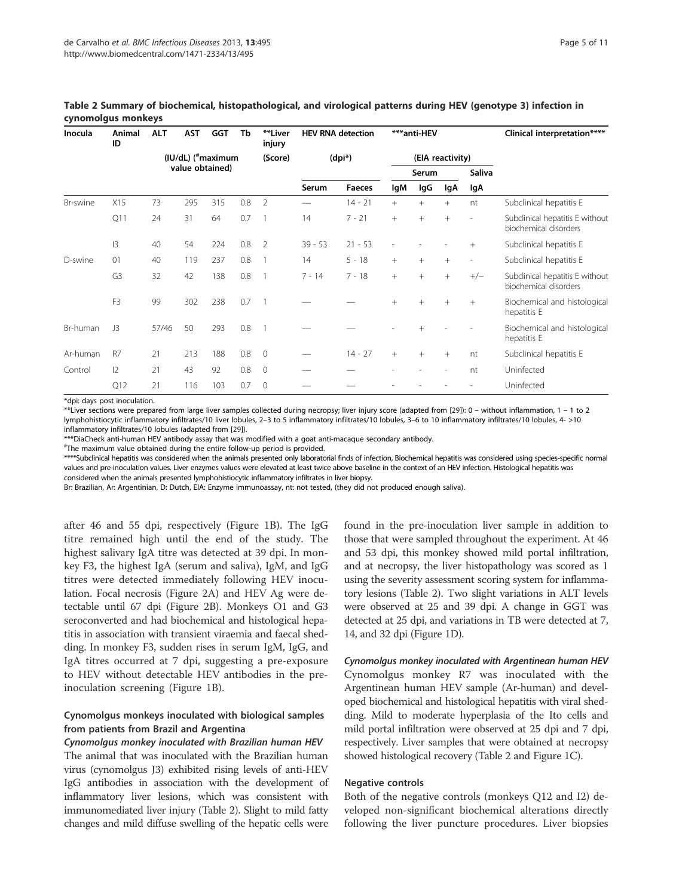| Inocula  | Animal<br>ID   | <b>ALT</b>                     | <b>AST</b> | <b>GGT</b>      | Tb      | **Liver<br>injury | <b>HEV RNA detection</b> |                  | ***anti-HEV |        |                          |                          | Clinical interpretation****                              |  |
|----------|----------------|--------------------------------|------------|-----------------|---------|-------------------|--------------------------|------------------|-------------|--------|--------------------------|--------------------------|----------------------------------------------------------|--|
|          |                | (IU/dL) ( <sup>#</sup> maximum |            |                 | (Score) | $(dpi*)$          |                          | (EIA reactivity) |             |        |                          |                          |                                                          |  |
|          |                |                                |            | value obtained) |         |                   |                          |                  |             | Serum  |                          | <b>Saliva</b>            |                                                          |  |
|          |                |                                |            |                 |         |                   | Serum                    | <b>Faeces</b>    | lgM         | lgG    | lgA                      | lgA                      |                                                          |  |
| Br-swine | X15            | 73                             | 295        | 315             | 0.8     | $\overline{2}$    |                          | $14 - 21$        | $+$         | $+$    | $+$                      | nt                       | Subclinical hepatitis E                                  |  |
|          | Q11            | 24                             | 31         | 64              | 0.7     |                   | 14                       | $7 - 21$         | $+$         | $^{+}$ | $+$                      |                          | Subclinical hepatitis E without<br>biochemical disorders |  |
|          | 3              | 40                             | 54         | 224             | 0.8     | 2                 | $39 - 53$                | $21 - 53$        |             |        |                          | $+$                      | Subclinical hepatitis E                                  |  |
| D-swine  | 01             | 40                             | 119        | 237             | 0.8     |                   | 14                       | $5 - 18$         | $^{+}$      | $^{+}$ | $+$                      | $\overline{\phantom{a}}$ | Subclinical hepatitis E                                  |  |
|          | G <sub>3</sub> | 32                             | 42         | 138             | 0.8     |                   | $7 - 14$                 | $7 - 18$         | $+$         | $^{+}$ | $+$                      | $+/-$                    | Subclinical hepatitis E without<br>biochemical disorders |  |
|          | F <sub>3</sub> | 99                             | 302        | 238             | 0.7     |                   |                          |                  | $^{+}$      | $^{+}$ | $+$                      | $+$                      | Biochemical and histological<br>hepatitis E              |  |
| Br-human | J3             | 57/46                          | 50         | 293             | 0.8     | $\overline{1}$    |                          |                  |             |        |                          |                          | Biochemical and histological<br>hepatitis E              |  |
| Ar-human | R7             | 21                             | 213        | 188             | 0.8     | $\mathbf{0}$      |                          | $14 - 27$        | $^{+}$      | $^{+}$ | $+$                      | nt                       | Subclinical hepatitis E                                  |  |
| Control  | $ 2\rangle$    | 21                             | 43         | 92              | 0.8     | $\mathbf{0}$      |                          |                  |             |        | $\overline{\phantom{a}}$ | nt                       | Uninfected                                               |  |
|          | Q12            | 21                             | 116        | 103             | 0.7     | 0                 |                          |                  |             |        |                          |                          | Uninfected                                               |  |

Table 2 Summary of biochemical, histopathological, and virological patterns during HEV (genotype 3) infection in cynomolgus monkeys

\*dpi: days post inoculation.

\*\*Liver sections were prepared from large liver samples collected during necropsy; liver injury score (adapted from [29]): 0 – without inflammation, 1 – 1 to 2 lymphohistiocytic inflammatory infiltrates/10 liver lobules, 2–3 to 5 inflammatory infiltrates/10 lobules, 3–6 to 10 inflammatory infiltrates/10 lobules, 4- >10 inflammatory infiltrates/10 lobules (adapted from [29]).

\*\*\*DiaCheck anti-human HEV antibody assay that was modified with a goat anti-macaque secondary antibody.

# The maximum value obtained during the entire follow-up period is provided.

\*\*\*\*Subclinical hepatitis was considered when the animals presented only laboratorial finds of infection, Biochemical hepatitis was considered using species-specific normal values and pre-inoculation values. Liver enzymes values were elevated at least twice above baseline in the context of an HEV infection. Histological hepatitis was considered when the animals presented lymphohistiocytic inflammatory infiltrates in liver biopsy.

Br: Brazilian, Ar: Argentinian, D: Dutch, EIA: Enzyme immunoassay, nt: not tested, (they did not produced enough saliva).

after 46 and 55 dpi, respectively (Figure 1B). The IgG titre remained high until the end of the study. The highest salivary IgA titre was detected at 39 dpi. In monkey F3, the highest IgA (serum and saliva), IgM, and IgG titres were detected immediately following HEV inoculation. Focal necrosis (Figure 2A) and HEV Ag were detectable until 67 dpi (Figure 2B). Monkeys O1 and G3 seroconverted and had biochemical and histological hepatitis in association with transient viraemia and faecal shedding. In monkey F3, sudden rises in serum IgM, IgG, and IgA titres occurred at 7 dpi, suggesting a pre-exposure to HEV without detectable HEV antibodies in the preinoculation screening (Figure 1B).

# Cynomolgus monkeys inoculated with biological samples from patients from Brazil and Argentina

Cynomolgus monkey inoculated with Brazilian human HEV The animal that was inoculated with the Brazilian human virus (cynomolgus J3) exhibited rising levels of anti-HEV IgG antibodies in association with the development of inflammatory liver lesions, which was consistent with immunomediated liver injury (Table 2). Slight to mild fatty changes and mild diffuse swelling of the hepatic cells were

found in the pre-inoculation liver sample in addition to those that were sampled throughout the experiment. At 46 and 53 dpi, this monkey showed mild portal infiltration, and at necropsy, the liver histopathology was scored as 1 using the severity assessment scoring system for inflammatory lesions (Table 2). Two slight variations in ALT levels were observed at 25 and 39 dpi. A change in GGT was detected at 25 dpi, and variations in TB were detected at 7, 14, and 32 dpi (Figure 1D).

Cynomolgus monkey inoculated with Argentinean human HEV Cynomolgus monkey R7 was inoculated with the Argentinean human HEV sample (Ar-human) and developed biochemical and histological hepatitis with viral shedding. Mild to moderate hyperplasia of the Ito cells and mild portal infiltration were observed at 25 dpi and 7 dpi, respectively. Liver samples that were obtained at necropsy showed histological recovery (Table 2 and Figure 1C).

#### Negative controls

Both of the negative controls (monkeys Q12 and I2) developed non-significant biochemical alterations directly following the liver puncture procedures. Liver biopsies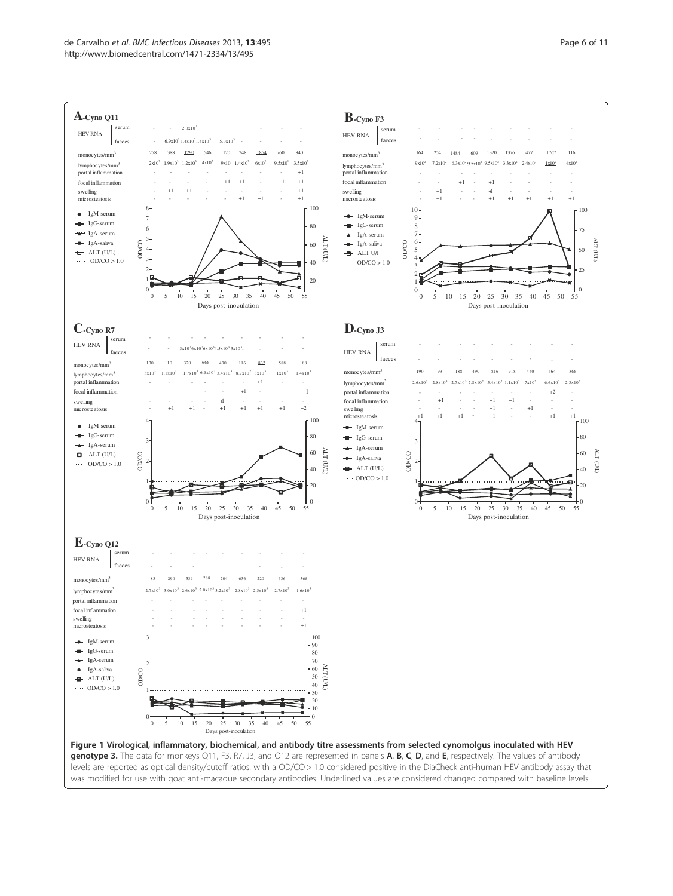

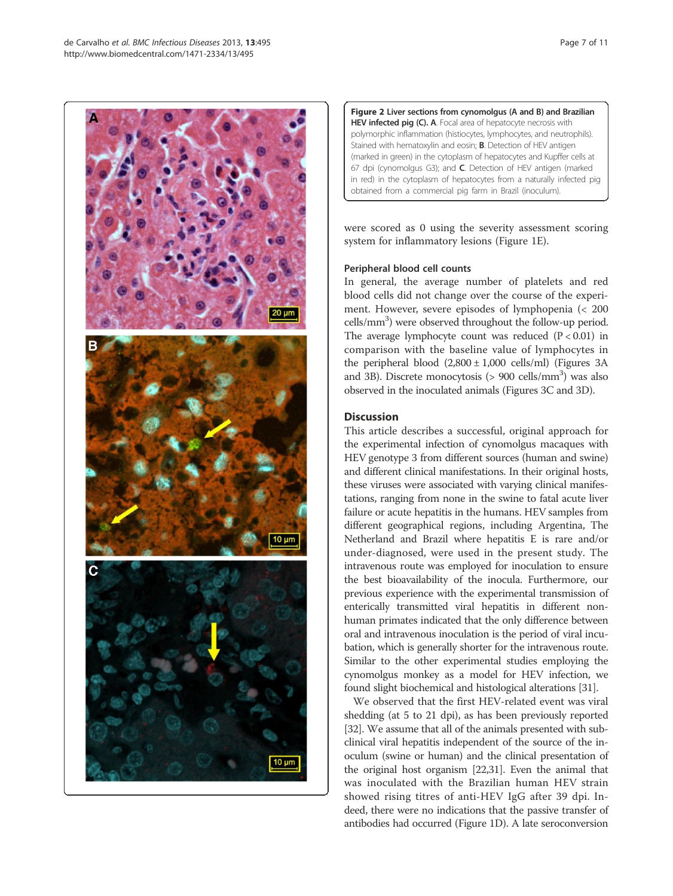

Figure 2 Liver sections from cynomolgus (A and B) and Brazilian HEV infected pig (C). A. Focal area of hepatocyte necrosis with polymorphic inflammation (histiocytes, lymphocytes, and neutrophils). Stained with hematoxylin and eosin; B. Detection of HEV antigen (marked in green) in the cytoplasm of hepatocytes and Kupffer cells at 67 dpi (cynomolgus G3); and C. Detection of HEV antigen (marked in red) in the cytoplasm of hepatocytes from a naturally infected pig obtained from a commercial pig farm in Brazil (inoculum).

were scored as 0 using the severity assessment scoring system for inflammatory lesions (Figure 1E).

# Peripheral blood cell counts

In general, the average number of platelets and red blood cells did not change over the course of the experiment. However, severe episodes of lymphopenia (< 200 cells/mm<sup>3</sup>) were observed throughout the follow-up period. The average lymphocyte count was reduced  $(P < 0.01)$  in comparison with the baseline value of lymphocytes in the peripheral blood  $(2,800 \pm 1,000 \text{ cells/ml})$  (Figures 3A and 3B). Discrete monocytosis (> 900 cells/mm<sup>3</sup>) was also observed in the inoculated animals (Figures 3C and 3D).

# Discussion

This article describes a successful, original approach for the experimental infection of cynomolgus macaques with HEV genotype 3 from different sources (human and swine) and different clinical manifestations. In their original hosts, these viruses were associated with varying clinical manifestations, ranging from none in the swine to fatal acute liver failure or acute hepatitis in the humans. HEV samples from different geographical regions, including Argentina, The Netherland and Brazil where hepatitis E is rare and/or under-diagnosed, were used in the present study. The intravenous route was employed for inoculation to ensure the best bioavailability of the inocula. Furthermore, our previous experience with the experimental transmission of enterically transmitted viral hepatitis in different nonhuman primates indicated that the only difference between oral and intravenous inoculation is the period of viral incubation, which is generally shorter for the intravenous route. Similar to the other experimental studies employing the cynomolgus monkey as a model for HEV infection, we found slight biochemical and histological alterations [31].

We observed that the first HEV-related event was viral shedding (at 5 to 21 dpi), as has been previously reported [32]. We assume that all of the animals presented with subclinical viral hepatitis independent of the source of the inoculum (swine or human) and the clinical presentation of the original host organism [22,31]. Even the animal that was inoculated with the Brazilian human HEV strain showed rising titres of anti-HEV IgG after 39 dpi. Indeed, there were no indications that the passive transfer of antibodies had occurred (Figure 1D). A late seroconversion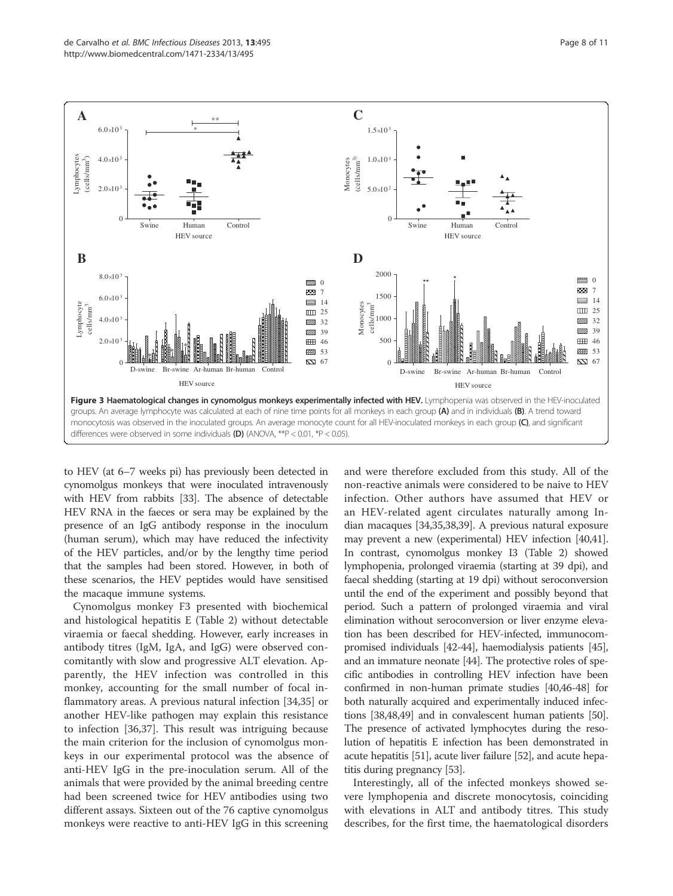

to HEV (at 6–7 weeks pi) has previously been detected in cynomolgus monkeys that were inoculated intravenously with HEV from rabbits [33]. The absence of detectable HEV RNA in the faeces or sera may be explained by the presence of an IgG antibody response in the inoculum (human serum), which may have reduced the infectivity of the HEV particles, and/or by the lengthy time period that the samples had been stored. However, in both of these scenarios, the HEV peptides would have sensitised the macaque immune systems.

Cynomolgus monkey F3 presented with biochemical and histological hepatitis E (Table 2) without detectable viraemia or faecal shedding. However, early increases in antibody titres (IgM, IgA, and IgG) were observed concomitantly with slow and progressive ALT elevation. Apparently, the HEV infection was controlled in this monkey, accounting for the small number of focal inflammatory areas. A previous natural infection [34,35] or another HEV-like pathogen may explain this resistance to infection [36,37]. This result was intriguing because the main criterion for the inclusion of cynomolgus monkeys in our experimental protocol was the absence of anti-HEV IgG in the pre-inoculation serum. All of the animals that were provided by the animal breeding centre had been screened twice for HEV antibodies using two different assays. Sixteen out of the 76 captive cynomolgus monkeys were reactive to anti-HEV IgG in this screening

and were therefore excluded from this study. All of the non-reactive animals were considered to be naive to HEV infection. Other authors have assumed that HEV or an HEV-related agent circulates naturally among Indian macaques [34,35,38,39]. A previous natural exposure may prevent a new (experimental) HEV infection [40,41]. In contrast, cynomolgus monkey I3 (Table 2) showed lymphopenia, prolonged viraemia (starting at 39 dpi), and faecal shedding (starting at 19 dpi) without seroconversion until the end of the experiment and possibly beyond that period. Such a pattern of prolonged viraemia and viral elimination without seroconversion or liver enzyme elevation has been described for HEV-infected, immunocompromised individuals [42-44], haemodialysis patients [45], and an immature neonate [44]. The protective roles of specific antibodies in controlling HEV infection have been confirmed in non-human primate studies [40,46-48] for both naturally acquired and experimentally induced infections [38,48,49] and in convalescent human patients [50]. The presence of activated lymphocytes during the resolution of hepatitis E infection has been demonstrated in acute hepatitis [51], acute liver failure [52], and acute hepatitis during pregnancy [53].

Interestingly, all of the infected monkeys showed severe lymphopenia and discrete monocytosis, coinciding with elevations in ALT and antibody titres. This study describes, for the first time, the haematological disorders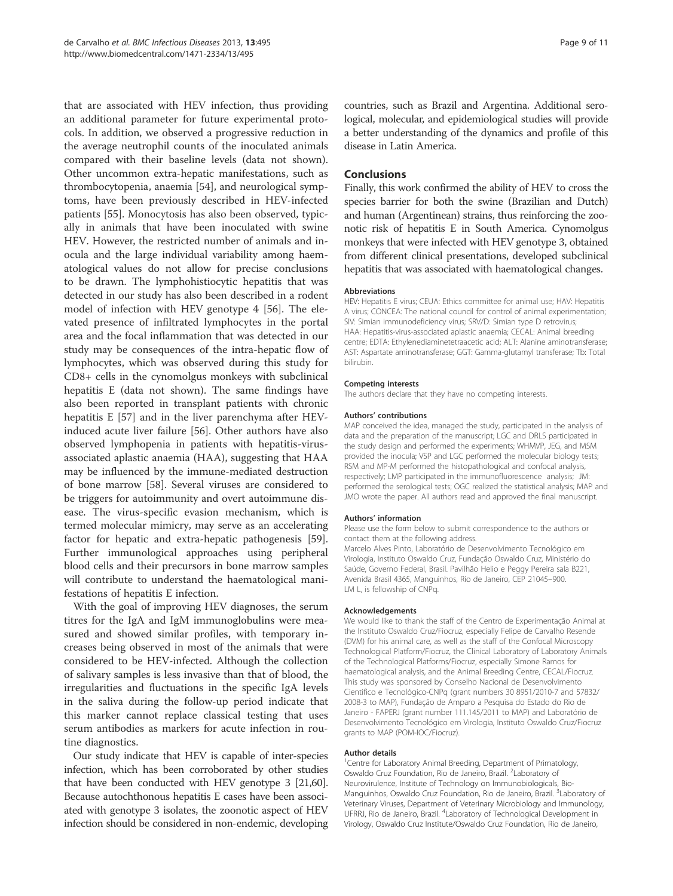that are associated with HEV infection, thus providing an additional parameter for future experimental protocols. In addition, we observed a progressive reduction in the average neutrophil counts of the inoculated animals compared with their baseline levels (data not shown). Other uncommon extra-hepatic manifestations, such as thrombocytopenia, anaemia [54], and neurological symptoms, have been previously described in HEV-infected patients [55]. Monocytosis has also been observed, typically in animals that have been inoculated with swine HEV. However, the restricted number of animals and inocula and the large individual variability among haematological values do not allow for precise conclusions to be drawn. The lymphohistiocytic hepatitis that was detected in our study has also been described in a rodent model of infection with HEV genotype 4 [56]. The elevated presence of infiltrated lymphocytes in the portal area and the focal inflammation that was detected in our study may be consequences of the intra-hepatic flow of lymphocytes, which was observed during this study for CD8+ cells in the cynomolgus monkeys with subclinical hepatitis E (data not shown). The same findings have also been reported in transplant patients with chronic hepatitis E [57] and in the liver parenchyma after HEVinduced acute liver failure [56]. Other authors have also observed lymphopenia in patients with hepatitis-virusassociated aplastic anaemia (HAA), suggesting that HAA may be influenced by the immune-mediated destruction of bone marrow [58]. Several viruses are considered to be triggers for autoimmunity and overt autoimmune disease. The virus-specific evasion mechanism, which is termed molecular mimicry, may serve as an accelerating factor for hepatic and extra-hepatic pathogenesis [59]. Further immunological approaches using peripheral blood cells and their precursors in bone marrow samples will contribute to understand the haematological manifestations of hepatitis E infection.

With the goal of improving HEV diagnoses, the serum titres for the IgA and IgM immunoglobulins were measured and showed similar profiles, with temporary increases being observed in most of the animals that were considered to be HEV-infected. Although the collection of salivary samples is less invasive than that of blood, the irregularities and fluctuations in the specific IgA levels in the saliva during the follow-up period indicate that this marker cannot replace classical testing that uses serum antibodies as markers for acute infection in routine diagnostics.

Our study indicate that HEV is capable of inter-species infection, which has been corroborated by other studies that have been conducted with HEV genotype 3 [21,60]. Because autochthonous hepatitis E cases have been associated with genotype 3 isolates, the zoonotic aspect of HEV infection should be considered in non-endemic, developing countries, such as Brazil and Argentina. Additional serological, molecular, and epidemiological studies will provide a better understanding of the dynamics and profile of this disease in Latin America.

#### Conclusions

Finally, this work confirmed the ability of HEV to cross the species barrier for both the swine (Brazilian and Dutch) and human (Argentinean) strains, thus reinforcing the zoonotic risk of hepatitis E in South America. Cynomolgus monkeys that were infected with HEV genotype 3, obtained from different clinical presentations, developed subclinical hepatitis that was associated with haematological changes.

#### Abbreviations

HEV: Hepatitis E virus; CEUA: Ethics committee for animal use; HAV: Hepatitis A virus; CONCEA: The national council for control of animal experimentation; SIV: Simian immunodeficiency virus; SRV/D: Simian type D retrovirus; HAA: Hepatitis-virus-associated aplastic anaemia; CECAL: Animal breeding centre; EDTA: Ethylenediaminetetraacetic acid; ALT: Alanine aminotransferase; AST: Aspartate aminotransferase; GGT: Gamma-glutamyl transferase; Tb: Total bilirubin.

#### Competing interests

The authors declare that they have no competing interests.

#### Authors' contributions

MAP conceived the idea, managed the study, participated in the analysis of data and the preparation of the manuscript; LGC and DRLS participated in the study design and performed the experiments; WHMVP, JEG, and MSM provided the inocula; VSP and LGC performed the molecular biology tests; RSM and MP-M performed the histopathological and confocal analysis, respectively; LMP participated in the immunofluorescence analysis; JM: performed the serological tests; OGC realized the statistical analysis; MAP and JMO wrote the paper. All authors read and approved the final manuscript.

#### Authors' information

Please use the form below to submit correspondence to the authors or contact them at the following address.

Marcelo Alves Pinto, Laboratório de Desenvolvimento Tecnológico em Virologia, Instituto Oswaldo Cruz, Fundação Oswaldo Cruz, Ministério do Saúde, Governo Federal, Brasil. Pavilhão Helio e Peggy Pereira sala B221, Avenida Brasil 4365, Manguinhos, Rio de Janeiro, CEP 21045–900. LM L, is fellowship of CNPq.

#### Acknowledgements

We would like to thank the staff of the Centro de Experimentação Animal at the Instituto Oswaldo Cruz/Fiocruz, especially Felipe de Carvalho Resende (DVM) for his animal care, as well as the staff of the Confocal Microscopy Technological Platform/Fiocruz, the Clinical Laboratory of Laboratory Animals of the Technological Platforms/Fiocruz, especially Simone Ramos for haematological analysis, and the Animal Breeding Centre, CECAL/Fiocruz. This study was sponsored by Conselho Nacional de Desenvolvimento Cientifico e Tecnológico-CNPq (grant numbers 30 8951/2010-7 and 57832/ 2008-3 to MAP), Fundação de Amparo a Pesquisa do Estado do Rio de Janeiro - FAPERJ (grant number 111.145/2011 to MAP) and Laboratório de Desenvolvimento Tecnológico em Virologia, Instituto Oswaldo Cruz/Fiocruz grants to MAP (POM-IOC/Fiocruz).

#### Author details

<sup>1</sup> Centre for Laboratory Animal Breeding, Department of Primatology Oswaldo Cruz Foundation, Rio de Janeiro, Brazil. <sup>2</sup>Laboratory of Neurovirulence, Institute of Technology on Immunobiologicals, Bio-Manguinhos, Oswaldo Cruz Foundation, Rio de Janeiro, Brazil. <sup>3</sup>Laboratory of Veterinary Viruses, Department of Veterinary Microbiology and Immunology, UFRRJ, Rio de Janeiro, Brazil. <sup>4</sup> Laboratory of Technological Development in Virology, Oswaldo Cruz Institute/Oswaldo Cruz Foundation, Rio de Janeiro,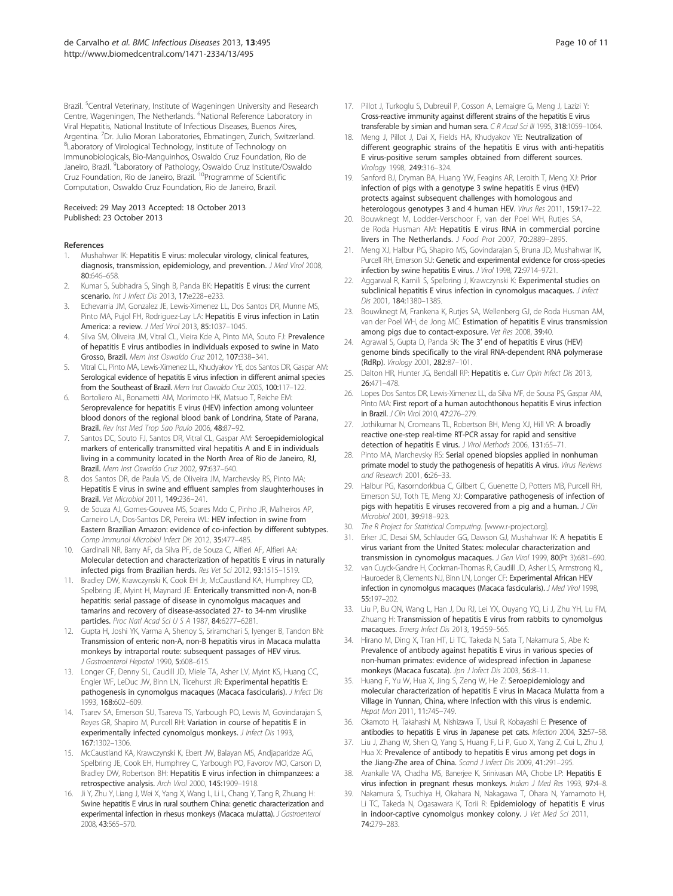Brazil. <sup>5</sup>Central Veterinary, Institute of Wageningen University and Research Centre, Wageningen, The Netherlands. <sup>6</sup>National Reference Laboratory in Viral Hepatitis, National Institute of Infectious Diseases, Buenos Aires, Argentina. <sup>7</sup>Dr. Julio Moran Laboratories, Ebmatingen, Zurich, Switzerland.<br><sup>8</sup>l aboratory of Virological Technology, Institute of Technology on Laboratory of Virological Technology, Institute of Technology on Immunobiologicals, Bio-Manguinhos, Oswaldo Cruz Foundation, Rio de Janeiro, Brazil. <sup>9</sup>Laboratory of Pathology, Oswaldo Cruz Institute/Oswaldo Cruz Foundation, Rio de Janeiro, Brazil. 10Programme of Scientific Computation, Oswaldo Cruz Foundation, Rio de Janeiro, Brazil.

#### Received: 29 May 2013 Accepted: 18 October 2013 Published: 23 October 2013

#### References

- 1. Mushahwar IK: Hepatitis E virus: molecular virology, clinical features, diagnosis, transmission, epidemiology, and prevention. J Med Virol 2008, 80:646–658.
- 2. Kumar S, Subhadra S, Singh B, Panda BK: Hepatitis E virus: the current scenario. Int J Infect Dis 2013, 17:e228-e233.
- 3. Echevarria JM, Gonzalez JE, Lewis-Ximenez LL, Dos Santos DR, Munne MS, Pinto MA, Pujol FH, Rodriguez-Lay LA: Hepatitis E virus infection in Latin America: a review. J Med Virol 2013, 85:1037–1045.
- 4. Silva SM, Oliveira JM, Vitral CL, Vieira Kde A, Pinto MA, Souto FJ: Prevalence of hepatitis E virus antibodies in individuals exposed to swine in Mato Grosso, Brazil. Mem Inst Oswaldo Cruz 2012, 107:338–341.
- Vitral CL, Pinto MA, Lewis-Ximenez LL, Khudyakov YE, dos Santos DR, Gaspar AM: Serological evidence of hepatitis E virus infection in different animal species from the Southeast of Brazil. Mem Inst Oswaldo Cruz 2005, 100:117–122.
- 6. Bortoliero AL, Bonametti AM, Morimoto HK, Matsuo T, Reiche EM: Seroprevalence for hepatitis E virus (HEV) infection among volunteer blood donors of the regional blood bank of Londrina, State of Parana, Brazil. Rev Inst Med Trop Sao Paulo 2006, 48:87–92.
- Santos DC, Souto FJ, Santos DR, Vitral CL, Gaspar AM: Seroepidemiological markers of enterically transmitted viral hepatitis A and E in individuals living in a community located in the North Area of Rio de Janeiro, RJ, Brazil. Mem Inst Oswaldo Cruz 2002, 97:637–640.
- 8. dos Santos DR, de Paula VS, de Oliveira JM, Marchevsky RS, Pinto MA: Hepatitis E virus in swine and effluent samples from slaughterhouses in Brazil. Vet Microbiol 2011, 149:236–241.
- 9. de Souza AJ, Gomes-Gouvea MS, Soares Mdo C, Pinho JR, Malheiros AP, Carneiro LA, Dos-Santos DR, Pereira WL: HEV infection in swine from Eastern Brazilian Amazon: evidence of co-infection by different subtypes. Comp Immunol Microbiol Infect Dis 2012, 35:477–485.
- 10. Gardinali NR, Barry AF, da Silva PF, de Souza C, Alfieri AF, Alfieri AA: Molecular detection and characterization of hepatitis E virus in naturally infected pigs from Brazilian herds. Res Vet Sci 2012, 93:1515–1519.
- 11. Bradley DW, Krawczynski K, Cook EH Jr, McCaustland KA, Humphrey CD, Spelbring JE, Myint H, Maynard JE: Enterically transmitted non-A, non-B hepatitis: serial passage of disease in cynomolgus macaques and tamarins and recovery of disease-associated 27- to 34-nm viruslike particles. Proc Natl Acad Sci U S A 1987, 84:6277-6281.
- 12. Gupta H, Joshi YK, Varma A, Shenoy S, Sriramchari S, Iyenger B, Tandon BN: Transmission of enteric non-A, non-B hepatitis virus in Macaca mulatta monkeys by intraportal route: subsequent passages of HEV virus. J Gastroenterol Hepatol 1990, 5:608–615.
- 13. Longer CF, Denny SL, Caudill JD, Miele TA, Asher LV, Myint KS, Huang CC, Engler WF, LeDuc JW, Binn LN, Ticehurst JR: Experimental hepatitis E: pathogenesis in cynomolgus macaques (Macaca fascicularis). J Infect Dis 1993, 168:602–609.
- 14. Tsarev SA, Emerson SU, Tsareva TS, Yarbough PO, Lewis M, Govindarajan S, Reyes GR, Shapiro M, Purcell RH: Variation in course of hepatitis E in experimentally infected cynomolgus monkeys. J Infect Dis 1993, 167:1302–1306.
- 15. McCaustland KA, Krawczynski K, Ebert JW, Balayan MS, Andjaparidze AG, Spelbring JE, Cook EH, Humphrey C, Yarbough PO, Favorov MO, Carson D, Bradley DW, Robertson BH: Hepatitis E virus infection in chimpanzees: a retrospective analysis. Arch Virol 2000, 145:1909–1918.
- 16. Ji Y, Zhu Y, Liang J, Wei X, Yang X, Wang L, Li L, Chang Y, Tang R, Zhuang H: Swine hepatitis E virus in rural southern China: genetic characterization and experimental infection in rhesus monkeys (Macaca mulatta). J Gastroenterol 2008, 43:565–570.
- 
- 17. Pillot J, Turkoglu S, Dubreuil P, Cosson A, Lemaigre G, Meng J, Lazizi Y: Cross-reactive immunity against different strains of the hepatitis E virus transferable by simian and human sera. C R Acad Sci III 1995, 318:1059-1064.
- 18. Meng J, Pillot J, Dai X, Fields HA, Khudyakov YE: Neutralization of different geographic strains of the hepatitis E virus with anti-hepatitis E virus-positive serum samples obtained from different sources. Virology 1998, 249:316–324.
- 19. Sanford BJ, Dryman BA, Huang YW, Feagins AR, Leroith T, Meng XJ: Prior infection of pigs with a genotype 3 swine hepatitis E virus (HEV) protects against subsequent challenges with homologous and heterologous genotypes 3 and 4 human HEV. Virus Res 2011, 159:17–22.
- 20. Bouwknegt M, Lodder-Verschoor F, van der Poel WH, Rutjes SA, de Roda Husman AM: Hepatitis E virus RNA in commercial porcine livers in The Netherlands. J Food Prot 2007, 70:2889–2895.
- 21. Meng XJ, Halbur PG, Shapiro MS, Govindarajan S, Bruna JD, Mushahwar IK, Purcell RH, Emerson SU: Genetic and experimental evidence for cross-species infection by swine hepatitis E virus. J Virol 1998, 72:9714–9721.
- 22. Aggarwal R, Kamili S, Spelbring J, Krawczynski K: Experimental studies on subclinical hepatitis E virus infection in cynomolgus macaques. J Infect Dis 2001, 184:1380–1385.
- 23. Bouwknegt M, Frankena K, Rutjes SA, Wellenberg GJ, de Roda Husman AM, van der Poel WH, de Jong MC: Estimation of hepatitis E virus transmission among pigs due to contact-exposure. Vet Res 2008, 39:40.
- 24. Agrawal S, Gupta D, Panda SK: The 3' end of hepatitis E virus (HEV) genome binds specifically to the viral RNA-dependent RNA polymerase (RdRp). Virology 2001, 282:87–101.
- 25. Dalton HR, Hunter JG, Bendall RP: Hepatitis e. Curr Opin Infect Dis 2013, 26:471–478.
- 26. Lopes Dos Santos DR, Lewis-Ximenez LL, da Silva MF, de Sousa PS, Gaspar AM, Pinto MA: First report of a human autochthonous hepatitis E virus infection in Brazil. J Clin Virol 2010, 47:276–279.
- 27. Jothikumar N, Cromeans TL, Robertson BH, Meng XJ, Hill VR: A broadly reactive one-step real-time RT-PCR assay for rapid and sensitive detection of hepatitis E virus. J Virol Methods 2006, 131:65–71.
- 28. Pinto MA, Marchevsky RS: Serial opened biopsies applied in nonhuman primate model to study the pathogenesis of hepatitis A virus. Virus Reviews and Research 2001, 6:26–33.
- 29. Halbur PG, Kasorndorkbua C, Gilbert C, Guenette D, Potters MB, Purcell RH, Emerson SU, Toth TE, Meng XJ: Comparative pathogenesis of infection of pigs with hepatitis E viruses recovered from a pig and a human. J Clin Microbiol 2001, 39:918–923.
- 30. The R Project for Statistical Computing. [www.r-project.org].
- 31. Erker JC, Desai SM, Schlauder GG, Dawson GJ, Mushahwar IK: A hepatitis E virus variant from the United States: molecular characterization and transmission in cynomolgus macaques. J Gen Virol 1999, 80(Pt 3):681–690.
- 32. van Cuyck-Gandre H, Cockman-Thomas R, Caudill JD, Asher LS, Armstrong KL, Hauroeder B, Clements NJ, Binn LN, Longer CF: Experimental African HEV infection in cynomolgus macaques (Macaca fascicularis). J Med Virol 1998, 55:197–202.
- 33. Liu P, Bu QN, Wang L, Han J, Du RJ, Lei YX, Ouyang YQ, Li J, Zhu YH, Lu FM, Zhuang H: Transmission of hepatitis E virus from rabbits to cynomolgus macaques. Emerg Infect Dis 2013, 19:559–565.
- 34. Hirano M, Ding X, Tran HT, Li TC, Takeda N, Sata T, Nakamura S, Abe K: Prevalence of antibody against hepatitis E virus in various species of non-human primates: evidence of widespread infection in Japanese monkeys (Macaca fuscata). Jpn J Infect Dis 2003, 56:8-11.
- 35. Huang F, Yu W, Hua X, Jing S, Zeng W, He Z: Seroepidemiology and molecular characterization of hepatitis E virus in Macaca Mulatta from a Village in Yunnan, China, where Infection with this virus is endemic. Hepat Mon 2011, 11:745–749.
- 36. Okamoto H, Takahashi M, Nishizawa T, Usui R, Kobayashi E: Presence of antibodies to hepatitis E virus in Japanese pet cats. Infection 2004, 32:57–58.
- 37. Liu J, Zhang W, Shen Q, Yang S, Huang F, Li P, Guo X, Yang Z, Cui L, Zhu J, Hua X: Prevalence of antibody to hepatitis E virus among pet dogs in the Jiang-Zhe area of China. Scand J Infect Dis 2009, 41:291-295.
- 38. Arankalle VA, Chadha MS, Banerjee K, Srinivasan MA, Chobe LP: Hepatitis E virus infection in pregnant rhesus monkeys. Indian J Med Res 1993, 97:4-8.
- 39. Nakamura S, Tsuchiya H, Okahara N, Nakagawa T, Ohara N, Yamamoto H, Li TC, Takeda N, Ogasawara K, Torii R: Epidemiology of hepatitis E virus in indoor-captive cynomolgus monkey colony. J Vet Med Sci 2011, 74:279–283.